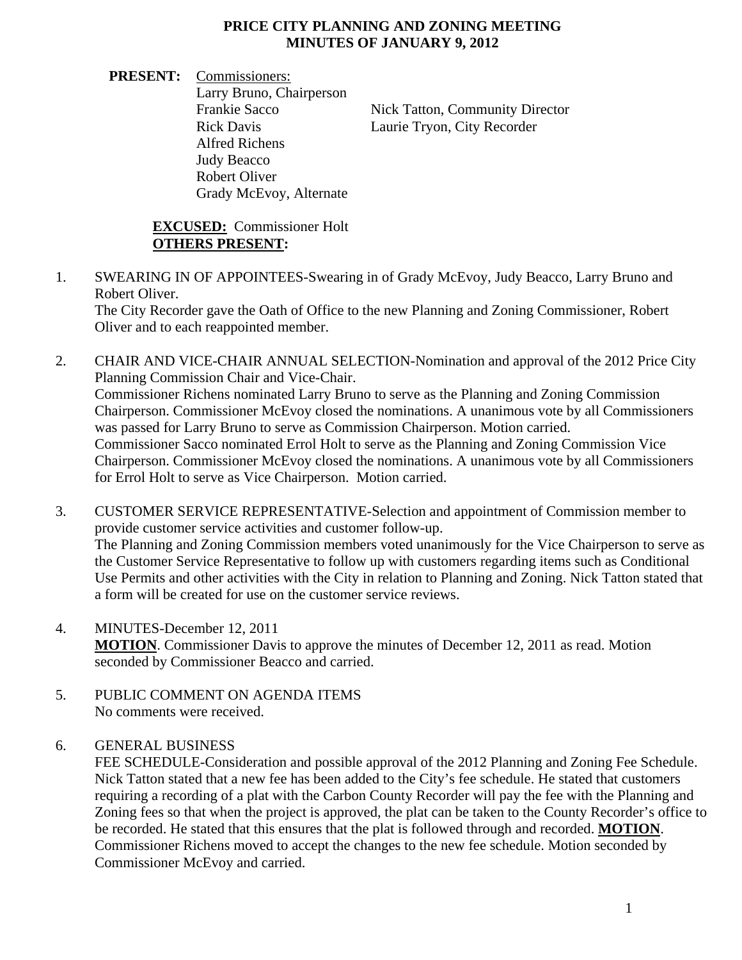## **PRICE CITY PLANNING AND ZONING MEETING MINUTES OF JANUARY 9, 2012**

**PRESENT:** Commissioners: Larry Bruno, Chairperson Frankie Sacco Nick Tatton, Community Director Rick Davis Laurie Tryon, City Recorder Alfred Richens Judy Beacco Robert Oliver Grady McEvoy, Alternate

## **EXCUSED:** Commissioner Holt **OTHERS PRESENT:**

1. SWEARING IN OF APPOINTEES-Swearing in of Grady McEvoy, Judy Beacco, Larry Bruno and Robert Oliver.

The City Recorder gave the Oath of Office to the new Planning and Zoning Commissioner, Robert Oliver and to each reappointed member.

- 2. CHAIR AND VICE-CHAIR ANNUAL SELECTION-Nomination and approval of the 2012 Price City Planning Commission Chair and Vice-Chair. Commissioner Richens nominated Larry Bruno to serve as the Planning and Zoning Commission Chairperson. Commissioner McEvoy closed the nominations. A unanimous vote by all Commissioners was passed for Larry Bruno to serve as Commission Chairperson. Motion carried. Commissioner Sacco nominated Errol Holt to serve as the Planning and Zoning Commission Vice Chairperson. Commissioner McEvoy closed the nominations. A unanimous vote by all Commissioners for Errol Holt to serve as Vice Chairperson. Motion carried.
- 3. CUSTOMER SERVICE REPRESENTATIVE-Selection and appointment of Commission member to provide customer service activities and customer follow-up. The Planning and Zoning Commission members voted unanimously for the Vice Chairperson to serve as the Customer Service Representative to follow up with customers regarding items such as Conditional Use Permits and other activities with the City in relation to Planning and Zoning. Nick Tatton stated that a form will be created for use on the customer service reviews.
- 4. MINUTES-December 12, 2011 **MOTION**. Commissioner Davis to approve the minutes of December 12, 2011 as read. Motion seconded by Commissioner Beacco and carried.
- 5. PUBLIC COMMENT ON AGENDA ITEMS No comments were received.

## 6. GENERAL BUSINESS

 FEE SCHEDULE-Consideration and possible approval of the 2012 Planning and Zoning Fee Schedule. Nick Tatton stated that a new fee has been added to the City's fee schedule. He stated that customers requiring a recording of a plat with the Carbon County Recorder will pay the fee with the Planning and Zoning fees so that when the project is approved, the plat can be taken to the County Recorder's office to be recorded. He stated that this ensures that the plat is followed through and recorded. **MOTION**. Commissioner Richens moved to accept the changes to the new fee schedule. Motion seconded by Commissioner McEvoy and carried.